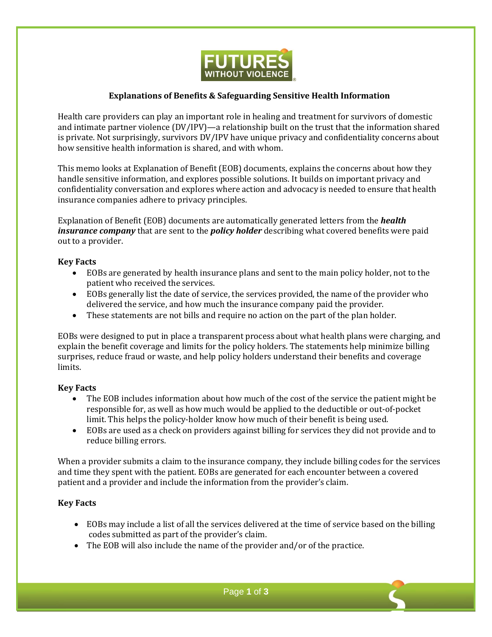

# **Explanations of Benefits & Safeguarding Sensitive Health Information**

Health care providers can play an important role in healing and treatment for survivors of domestic and intimate partner violence (DV/IPV)—a relationship built on the trust that the information shared is private. Not surprisingly, survivors DV/IPV have unique privacy and confidentiality concerns about how sensitive health information is shared, and with whom.

This memo looks at Explanation of Benefit (EOB) documents, explains the concerns about how they handle sensitive information, and explores possible solutions. It builds on important privacy and confidentiality conversation and explores where action and advocacy is needed to ensure that health insurance companies adhere to privacy principles.

Explanation of Benefit (EOB) documents are automatically generated letters from the *health insurance company* that are sent to the *policy holder* describing what covered benefits were paid out to a provider.

## **Key Facts**

- EOBs are generated by health insurance plans and sent to the main policy holder, not to the patient who received the services.
- EOBs generally list the date of service, the services provided, the name of the provider who delivered the service, and how much the insurance company paid the provider.
- These statements are not bills and require no action on the part of the plan holder.

EOBs were designed to put in place a transparent process about what health plans were charging, and explain the benefit coverage and limits for the policy holders. The statements help minimize billing surprises, reduce fraud or waste, and help policy holders understand their benefits and coverage limits.

### **Key Facts**

- The EOB includes information about how much of the cost of the service the patient might be responsible for, as well as how much would be applied to the deductible or out-of-pocket limit. This helps the policy-holder know how much of their benefit is being used.
- EOBs are used as a check on providers against billing for services they did not provide and to reduce billing errors.

When a provider submits a claim to the insurance company, they include billing codes for the services and time they spent with the patient. EOBs are generated for each encounter between a covered patient and a provider and include the information from the provider's claim.

# **Key Facts**

- EOBs may include a list of all the services delivered at the time of service based on the billing codes submitted as part of the provider's claim.
- The EOB will also include the name of the provider and/or of the practice.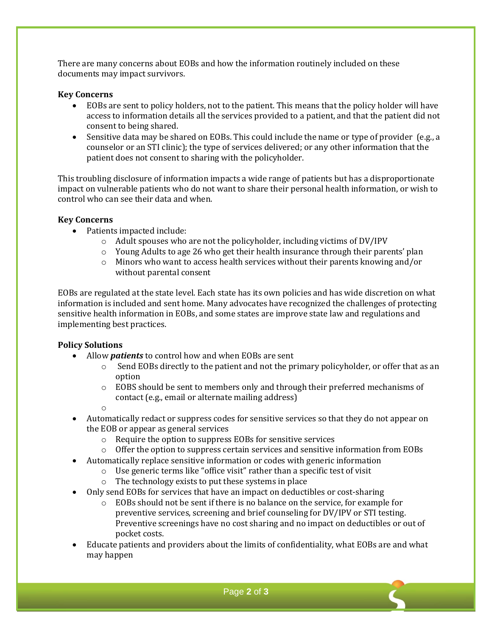There are many concerns about EOBs and how the information routinely included on these documents may impact survivors.

### **Key Concerns**

- EOBs are sent to policy holders, not to the patient. This means that the policy holder will have access to information details all the services provided to a patient, and that the patient did not consent to being shared.
- Sensitive data may be shared on EOBs. This could include the name or type of provider (e.g., a counselor or an STI clinic); the type of services delivered; or any other information that the patient does not consent to sharing with the policyholder.

This troubling disclosure of information impacts a wide range of patients but has a disproportionate impact on vulnerable patients who do not want to share their personal health information, or wish to control who can see their data and when.

## **Key Concerns**

- Patients impacted include:
	- $\circ$  Adult spouses who are not the policyholder, including victims of DV/IPV
	- $\circ$  Young Adults to age 26 who get their health insurance through their parents' plan
	- o Minors who want to access health services without their parents knowing and/or without parental consent

EOBs are regulated at the state level. Each state has its own policies and has wide discretion on what information is included and sent home. Many advocates have recognized the challenges of protecting sensitive health information in EOBs, and some states are improve state law and regulations and implementing best practices.

# **Policy Solutions**

- Allow *patients* to control how and when EOBs are sent
	- $\circ$  Send EOBs directly to the patient and not the primary policyholder, or offer that as an option
	- $\circ$  EOBS should be sent to members only and through their preferred mechanisms of contact (e.g., email or alternate mailing address)
	- o
- Automatically redact or suppress codes for sensitive services so that they do not appear on the EOB or appear as general services
	- o Require the option to suppress EOBs for sensitive services
	- $\circ$  Offer the option to suppress certain services and sensitive information from EOBs
- Automatically replace sensitive information or codes with generic information
	- o Use generic terms like "office visit" rather than a specific test of visit
	- o The technology exists to put these systems in place
- Only send EOBs for services that have an impact on deductibles or cost-sharing
	- o EOBs should not be sent if there is no balance on the service, for example for preventive services, screening and brief counseling for DV/IPV or STI testing. Preventive screenings have no cost sharing and no impact on deductibles or out of pocket costs.
- Educate patients and providers about the limits of confidentiality, what EOBs are and what may happen